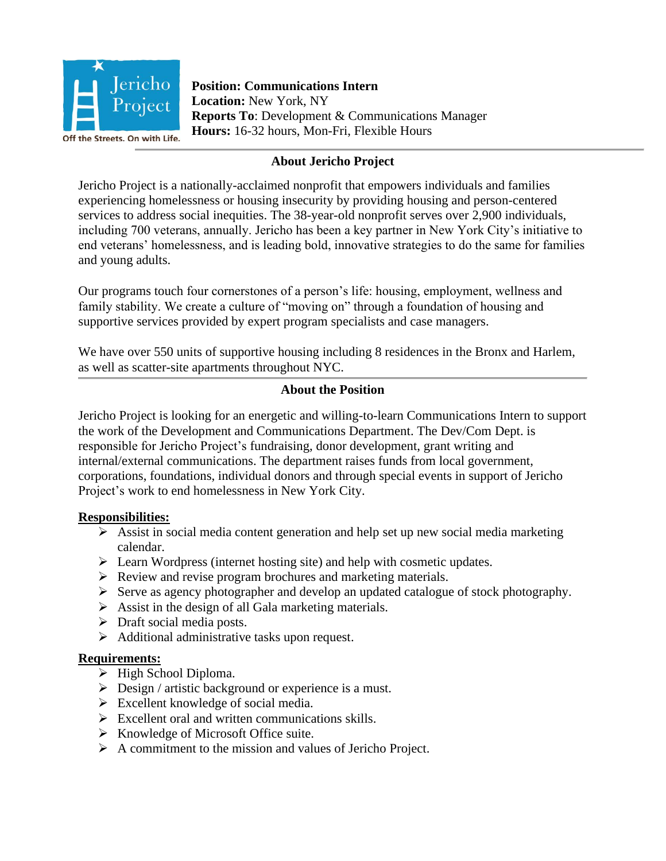

**Position: Communications Intern Location:** New York, NY **Reports To**: Development & Communications Manager **Hours:** 16-32 hours, Mon-Fri, Flexible Hours

# **About Jericho Project**

Jericho Project is a nationally-acclaimed nonprofit that empowers individuals and families experiencing homelessness or housing insecurity by providing housing and person-centered services to address social inequities. The 38-year-old nonprofit serves over 2,900 individuals, including 700 veterans, annually. Jericho has been a key partner in New York City's initiative to end veterans' homelessness, and is leading bold, innovative strategies to do the same for families and young adults.

Our programs touch four cornerstones of a person's life: housing, employment, wellness and family stability. We create a culture of "moving on" through a foundation of housing and supportive services provided by expert program specialists and case managers.

We have over 550 units of supportive housing including 8 residences in the Bronx and Harlem, as well as scatter-site apartments throughout NYC.

## **About the Position**

Jericho Project is looking for an energetic and willing-to-learn Communications Intern to support the work of the Development and Communications Department. The Dev/Com Dept. is responsible for Jericho Project's fundraising, donor development, grant writing and internal/external communications. The department raises funds from local government, corporations, foundations, individual donors and through special events in support of Jericho Project's work to end homelessness in New York City.

### **Responsibilities:**

- ➢ Assist in social media content generation and help set up new social media marketing calendar.
- ➢ Learn Wordpress (internet hosting site) and help with cosmetic updates.
- ➢ Review and revise program brochures and marketing materials.
- ➢ Serve as agency photographer and develop an updated catalogue of stock photography.
- $\triangleright$  Assist in the design of all Gala marketing materials.
- ➢ Draft social media posts.
- $\triangleright$  Additional administrative tasks upon request.

### **Requirements:**

- ➢ High School Diploma.
- ➢ Design / artistic background or experience is a must.
- $\triangleright$  Excellent knowledge of social media.
- $\triangleright$  Excellent oral and written communications skills.
- ➢ Knowledge of Microsoft Office suite.
- ➢ A commitment to the mission and values of Jericho Project.